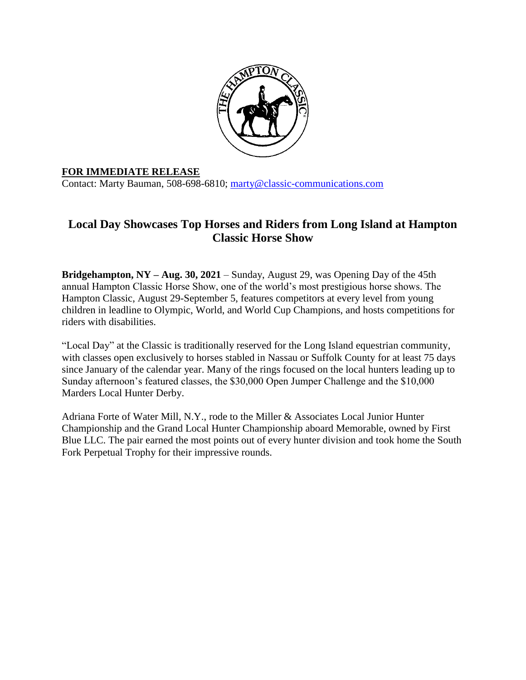

## **FOR IMMEDIATE RELEASE**

Contact: Marty Bauman, 508-698-6810; [marty@classic-communications.com](about:blank)

## **Local Day Showcases Top Horses and Riders from Long Island at Hampton Classic Horse Show**

**Bridgehampton, NY – Aug. 30, 2021** – Sunday, August 29, was Opening Day of the 45th annual Hampton Classic Horse Show, one of the world's most prestigious horse shows. The Hampton Classic, August 29-September 5, features competitors at every level from young children in leadline to Olympic, World, and World Cup Champions, and hosts competitions for riders with disabilities.

"Local Day" at the Classic is traditionally reserved for the Long Island equestrian community, with classes open exclusively to horses stabled in Nassau or Suffolk County for at least 75 days since January of the calendar year. Many of the rings focused on the local hunters leading up to Sunday afternoon's featured classes, the \$30,000 Open Jumper Challenge and the \$10,000 Marders Local Hunter Derby.

Adriana Forte of Water Mill, N.Y., rode to the Miller & Associates Local Junior Hunter Championship and the Grand Local Hunter Championship aboard Memorable, owned by First Blue LLC. The pair earned the most points out of every hunter division and took home the South Fork Perpetual Trophy for their impressive rounds.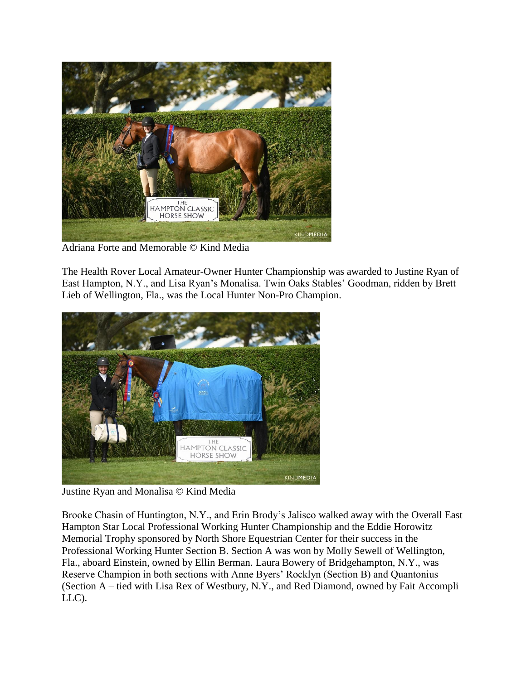

Adriana Forte and Memorable © Kind Media

The Health Rover Local Amateur-Owner Hunter Championship was awarded to Justine Ryan of East Hampton, N.Y., and Lisa Ryan's Monalisa. Twin Oaks Stables' Goodman, ridden by Brett Lieb of Wellington, Fla., was the Local Hunter Non-Pro Champion.



Justine Ryan and Monalisa © Kind Media

Brooke Chasin of Huntington, N.Y., and Erin Brody's Jalisco walked away with the Overall East Hampton Star Local Professional Working Hunter Championship and the Eddie Horowitz Memorial Trophy sponsored by North Shore Equestrian Center for their success in the Professional Working Hunter Section B. Section A was won by Molly Sewell of Wellington, Fla., aboard Einstein, owned by Ellin Berman. Laura Bowery of Bridgehampton, N.Y., was Reserve Champion in both sections with Anne Byers' Rocklyn (Section B) and Quantonius (Section A – tied with Lisa Rex of Westbury, N.Y., and Red Diamond, owned by Fait Accompli LLC).